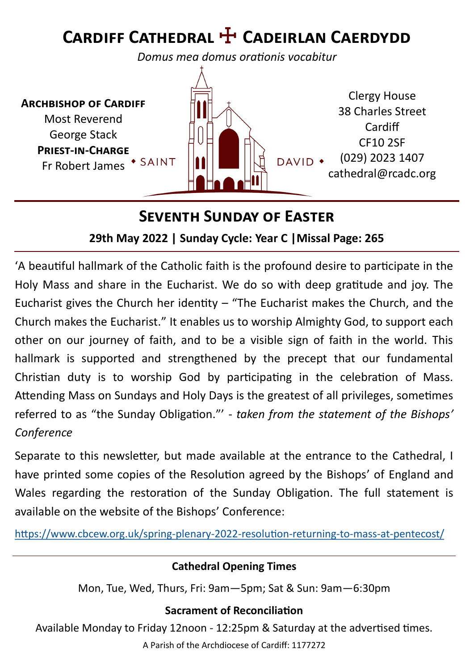# **Cardiff Cathedral** ☩ **Cadeirlan Caerdydd**

*Domus mea domus orationis vocabitur*

**Archbishop of Cardiff** Most Reverend George Stack **Priest-in-Charge** Fr Robert James \* SAINT



### **Seventh Sunday of Easter**

#### **29th May 2022 | Sunday Cycle: Year C |Missal Page: 265**

'A beautiful hallmark of the Catholic faith is the profound desire to participate in the Holy Mass and share in the Eucharist. We do so with deep gratitude and joy. The Eucharist gives the Church her identity  $-$  "The Eucharist makes the Church, and the Church makes the Eucharist." It enables us to worship Almighty God, to support each other on our journey of faith, and to be a visible sign of faith in the world. This hallmark is supported and strengthened by the precept that our fundamental Christian duty is to worship God by participating in the celebration of Mass. Attending Mass on Sundays and Holy Days is the greatest of all privileges, sometimes referred to as "the Sunday Obligation."' - *taken from the statement of the Bishops' Conference*

Separate to this newsletter, but made available at the entrance to the Cathedral, I have printed some copies of the Resolution agreed by the Bishops' of England and Wales regarding the restoration of the Sunday Obligation. The full statement is available on the website of the Bishops' Conference:

[https://www.cbcew.org.uk/spring](https://www.cbcew.org.uk/spring-plenary-2022-resolution-returning-to-mass-at-pentecost/)-plenary-2022-resolution-returning-to-mass-at-pentecost/

#### **Cathedral Opening Times**

Mon, Tue, Wed, Thurs, Fri: 9am—5pm; Sat & Sun: 9am—6:30pm

#### **Sacrament of Reconciliation**

Available Monday to Friday 12noon - 12:25pm & Saturday at the advertised times.

A Parish of the Archdiocese of Cardiff: 1177272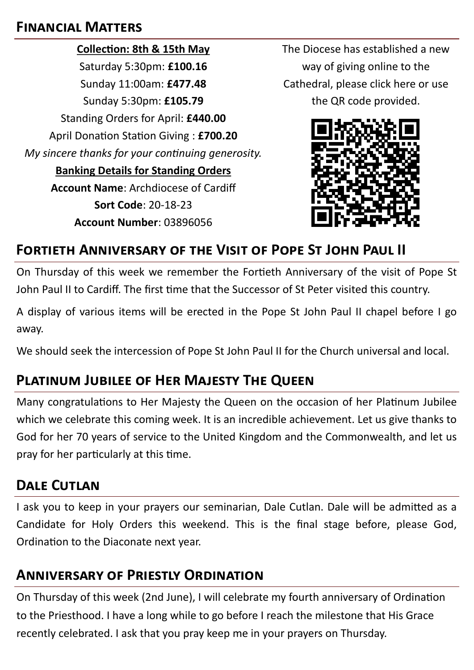#### **Financial Matters**

**Collection: 8th & 15th May** Saturday 5:30pm: **£100.16** Sunday 11:00am: **£477.48** Sunday 5:30pm: **£105.79** Standing Orders for April: **£440.00** April Donation Station Giving : **£700.20** *My sincere thanks for your continuing generosity.*  **Banking Details for Standing Orders Account Name**: Archdiocese of Cardiff **Sort Code**: 20-18-23 **Account Number**: 03896056

The Diocese has established a new way of giving online to the Cathedral, please click here or use the QR code provided.



# **Fortieth Anniversary of the Visit of Pope St John Paul II**

On Thursday of this week we remember the Fortieth Anniversary of the visit of Pope St John Paul II to Cardiff. The first time that the Successor of St Peter visited this country.

A display of various items will be erected in the Pope St John Paul II chapel before I go away.

We should seek the intercession of Pope St John Paul II for the Church universal and local.

# **Platinum Jubilee of Her Majesty The Queen**

Many congratulations to Her Majesty the Queen on the occasion of her Platinum Jubilee which we celebrate this coming week. It is an incredible achievement. Let us give thanks to God for her 70 years of service to the United Kingdom and the Commonwealth, and let us pray for her particularly at this time.

#### **Dale Cutlan**

I ask you to keep in your prayers our seminarian, Dale Cutlan. Dale will be admitted as a Candidate for Holy Orders this weekend. This is the final stage before, please God, Ordination to the Diaconate next year.

#### **Anniversary of Priestly Ordination**

On Thursday of this week (2nd June), I will celebrate my fourth anniversary of Ordination to the Priesthood. I have a long while to go before I reach the milestone that His Grace recently celebrated. I ask that you pray keep me in your prayers on Thursday.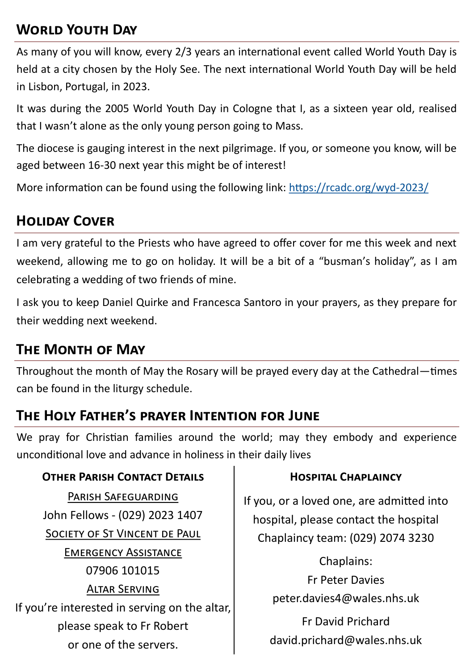# **World Youth Day**

As many of you will know, every 2/3 years an international event called World Youth Day is held at a city chosen by the Holy See. The next international World Youth Day will be held in Lisbon, Portugal, in 2023.

It was during the 2005 World Youth Day in Cologne that I, as a sixteen year old, realised that I wasn't alone as the only young person going to Mass.

The diocese is gauging interest in the next pilgrimage. If you, or someone you know, will be aged between 16-30 next year this might be of interest!

More information can be found using the following link: [https://rcadc.org/wyd](https://rcadc.org/wyd-2023/)-2023/

# **Holiday Cover**

I am very grateful to the Priests who have agreed to offer cover for me this week and next weekend, allowing me to go on holiday. It will be a bit of a "busman's holiday", as I am celebrating a wedding of two friends of mine.

I ask you to keep Daniel Quirke and Francesca Santoro in your prayers, as they prepare for their wedding next weekend.

#### **The Month of May**

Throughout the month of May the Rosary will be prayed every day at the Cathedral—times can be found in the liturgy schedule.

### **The Holy Father's prayer Intention for June**

We pray for Christian families around the world; may they embody and experience unconditional love and advance in holiness in their daily lives

#### **OTHER PARISH CONTACT DETAILS CONSERVANT CHAPLAINCY**

Parish Safeguarding John Fellows - (029) 2023 1407 SOCIETY OF ST VINCENT DE PAUL Emergency Assistance 07906 101015 Altar Serving If you're interested in serving on the altar, please speak to Fr Robert or one of the servers.

If you, or a loved one, are admitted into hospital, please contact the hospital Chaplaincy team: (029) 2074 3230

> Chaplains: Fr Peter Davies peter.davies4@wales.nhs.uk

Fr David Prichard david.prichard@wales.nhs.uk